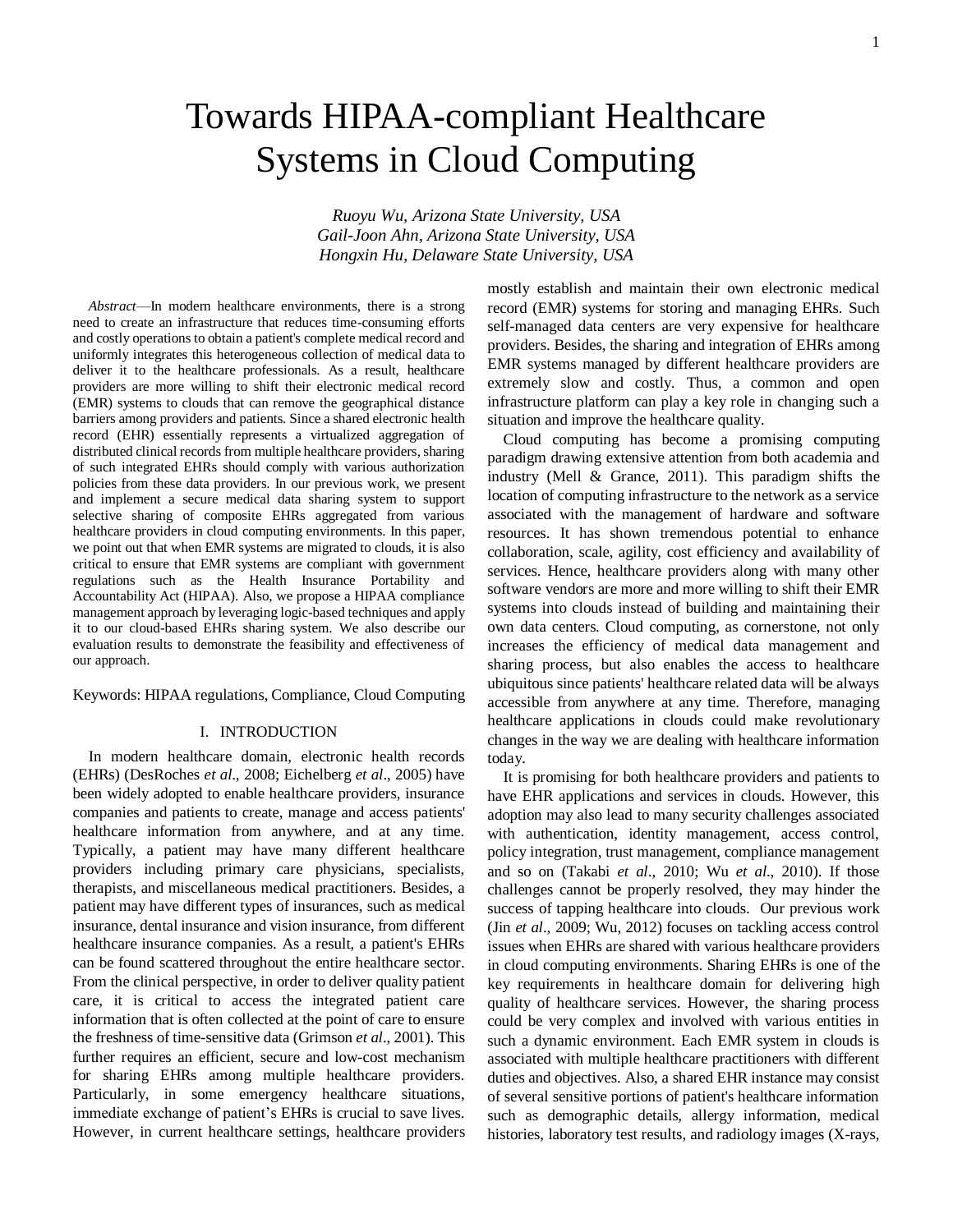# Towards HIPAA-compliant Healthcare Systems in Cloud Computing

*Ruoyu Wu, Arizona State University, USA Gail-Joon Ahn, Arizona State University, USA Hongxin Hu, Delaware State University, USA*

*Abstract*—In modern healthcare environments, there is a strong need to create an infrastructure that reduces time-consuming efforts and costly operations to obtain a patient's complete medical record and uniformly integrates this heterogeneous collection of medical data to deliver it to the healthcare professionals. As a result, healthcare providers are more willing to shift their electronic medical record (EMR) systems to clouds that can remove the geographical distance barriers among providers and patients. Since a shared electronic health record (EHR) essentially represents a virtualized aggregation of distributed clinical records from multiple healthcare providers, sharing of such integrated EHRs should comply with various authorization policies from these data providers. In our previous work, we present and implement a secure medical data sharing system to support selective sharing of composite EHRs aggregated from various healthcare providers in cloud computing environments. In this paper, we point out that when EMR systems are migrated to clouds, it is also critical to ensure that EMR systems are compliant with government regulations such as the Health Insurance Portability and Accountability Act (HIPAA). Also, we propose a HIPAA compliance management approach by leveraging logic-based techniques and apply it to our cloud-based EHRs sharing system. We also describe our evaluation results to demonstrate the feasibility and effectiveness of our approach.

Keywords: HIPAA regulations, Compliance, Cloud Computing

## I. INTRODUCTION

In modern healthcare domain, electronic health records (EHRs) (DesRoches *et al*., 2008; Eichelberg *et al*., 2005) have been widely adopted to enable healthcare providers, insurance companies and patients to create, manage and access patients' healthcare information from anywhere, and at any time. Typically, a patient may have many different healthcare providers including primary care physicians, specialists, therapists, and miscellaneous medical practitioners. Besides, a patient may have different types of insurances, such as medical insurance, dental insurance and vision insurance, from different healthcare insurance companies. As a result, a patient's EHRs can be found scattered throughout the entire healthcare sector. From the clinical perspective, in order to deliver quality patient care, it is critical to access the integrated patient care information that is often collected at the point of care to ensure the freshness of time-sensitive data (Grimson *et al*., 2001). This further requires an efficient, secure and low-cost mechanism for sharing EHRs among multiple healthcare providers. Particularly, in some emergency healthcare situations, immediate exchange of patient's EHRs is crucial to save lives. However, in current healthcare settings, healthcare providers mostly establish and maintain their own electronic medical record (EMR) systems for storing and managing EHRs. Such self-managed data centers are very expensive for healthcare providers. Besides, the sharing and integration of EHRs among EMR systems managed by different healthcare providers are extremely slow and costly. Thus, a common and open infrastructure platform can play a key role in changing such a situation and improve the healthcare quality.

Cloud computing has become a promising computing paradigm drawing extensive attention from both academia and industry (Mell & Grance, 2011). This paradigm shifts the location of computing infrastructure to the network as a service associated with the management of hardware and software resources. It has shown tremendous potential to enhance collaboration, scale, agility, cost efficiency and availability of services. Hence, healthcare providers along with many other software vendors are more and more willing to shift their EMR systems into clouds instead of building and maintaining their own data centers. Cloud computing, as cornerstone, not only increases the efficiency of medical data management and sharing process, but also enables the access to healthcare ubiquitous since patients' healthcare related data will be always accessible from anywhere at any time. Therefore, managing healthcare applications in clouds could make revolutionary changes in the way we are dealing with healthcare information today.

It is promising for both healthcare providers and patients to have EHR applications and services in clouds. However, this adoption may also lead to many security challenges associated with authentication, identity management, access control, policy integration, trust management, compliance management and so on (Takabi *et al*., 2010; Wu *et al*., 2010). If those challenges cannot be properly resolved, they may hinder the success of tapping healthcare into clouds. Our previous work (Jin *et al*., 2009; Wu, 2012) focuses on tackling access control issues when EHRs are shared with various healthcare providers in cloud computing environments. Sharing EHRs is one of the key requirements in healthcare domain for delivering high quality of healthcare services. However, the sharing process could be very complex and involved with various entities in such a dynamic environment. Each EMR system in clouds is associated with multiple healthcare practitioners with different duties and objectives. Also, a shared EHR instance may consist of several sensitive portions of patient's healthcare information such as demographic details, allergy information, medical histories, laboratory test results, and radiology images (X-rays,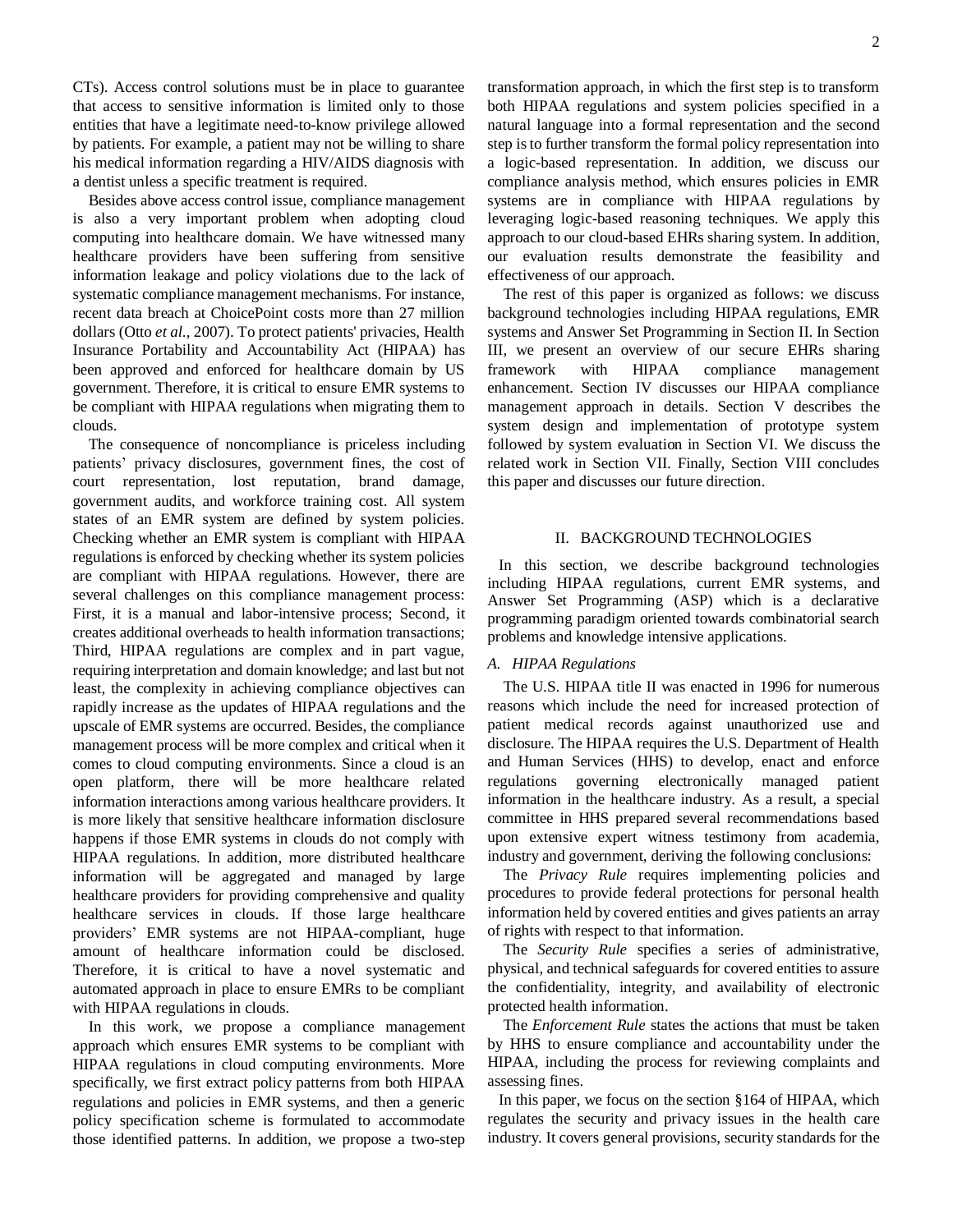CTs). Access control solutions must be in place to guarantee that access to sensitive information is limited only to those entities that have a legitimate need-to-know privilege allowed by patients. For example, a patient may not be willing to share his medical information regarding a HIV/AIDS diagnosis with a dentist unless a specific treatment is required.

Besides above access control issue, compliance management is also a very important problem when adopting cloud computing into healthcare domain. We have witnessed many healthcare providers have been suffering from sensitive information leakage and policy violations due to the lack of systematic compliance management mechanisms. For instance, recent data breach at ChoicePoint costs more than 27 million dollars (Otto *et al*., 2007). To protect patients' privacies, Health Insurance Portability and Accountability Act (HIPAA) has been approved and enforced for healthcare domain by US government. Therefore, it is critical to ensure EMR systems to be compliant with HIPAA regulations when migrating them to clouds.

The consequence of noncompliance is priceless including patients' privacy disclosures, government fines, the cost of court representation, lost reputation, brand damage, government audits, and workforce training cost. All system states of an EMR system are defined by system policies. Checking whether an EMR system is compliant with HIPAA regulations is enforced by checking whether its system policies are compliant with HIPAA regulations. However, there are several challenges on this compliance management process: First, it is a manual and labor-intensive process; Second, it creates additional overheads to health information transactions; Third, HIPAA regulations are complex and in part vague, requiring interpretation and domain knowledge; and last but not least, the complexity in achieving compliance objectives can rapidly increase as the updates of HIPAA regulations and the upscale of EMR systems are occurred. Besides, the compliance management process will be more complex and critical when it comes to cloud computing environments. Since a cloud is an open platform, there will be more healthcare related information interactions among various healthcare providers. It is more likely that sensitive healthcare information disclosure happens if those EMR systems in clouds do not comply with HIPAA regulations. In addition, more distributed healthcare information will be aggregated and managed by large healthcare providers for providing comprehensive and quality healthcare services in clouds. If those large healthcare providers' EMR systems are not HIPAA-compliant, huge amount of healthcare information could be disclosed. Therefore, it is critical to have a novel systematic and automated approach in place to ensure EMRs to be compliant with HIPAA regulations in clouds.

In this work, we propose a compliance management approach which ensures EMR systems to be compliant with HIPAA regulations in cloud computing environments. More specifically, we first extract policy patterns from both HIPAA regulations and policies in EMR systems, and then a generic policy specification scheme is formulated to accommodate those identified patterns. In addition, we propose a two-step transformation approach, in which the first step is to transform both HIPAA regulations and system policies specified in a natural language into a formal representation and the second step is to further transform the formal policy representation into a logic-based representation. In addition, we discuss our compliance analysis method, which ensures policies in EMR systems are in compliance with HIPAA regulations by leveraging logic-based reasoning techniques. We apply this approach to our cloud-based EHRs sharing system. In addition, our evaluation results demonstrate the feasibility and effectiveness of our approach.

The rest of this paper is organized as follows: we discuss background technologies including HIPAA regulations, EMR systems and Answer Set Programming in Section II. In Section III, we present an overview of our secure EHRs sharing framework with HIPAA compliance management enhancement. Section IV discusses our HIPAA compliance management approach in details. Section V describes the system design and implementation of prototype system followed by system evaluation in Section VI. We discuss the related work in Section VII. Finally, Section VIII concludes this paper and discusses our future direction.

## II. BACKGROUND TECHNOLOGIES

In this section, we describe background technologies including HIPAA regulations, current EMR systems, and Answer Set Programming (ASP) which is a declarative programming paradigm oriented towards combinatorial search problems and knowledge intensive applications.

## *A. HIPAA Regulations*

The U.S. HIPAA title II was enacted in 1996 for numerous reasons which include the need for increased protection of patient medical records against unauthorized use and disclosure. The HIPAA requires the U.S. Department of Health and Human Services (HHS) to develop, enact and enforce regulations governing electronically managed patient information in the healthcare industry. As a result, a special committee in HHS prepared several recommendations based upon extensive expert witness testimony from academia, industry and government, deriving the following conclusions:

The *Privacy Rule* requires implementing policies and procedures to provide federal protections for personal health information held by covered entities and gives patients an array of rights with respect to that information.

The *Security Rule* specifies a series of administrative, physical, and technical safeguards for covered entities to assure the confidentiality, integrity, and availability of electronic protected health information.

The *Enforcement Rule* states the actions that must be taken by HHS to ensure compliance and accountability under the HIPAA, including the process for reviewing complaints and assessing fines.

In this paper, we focus on the section §164 of HIPAA, which regulates the security and privacy issues in the health care industry. It covers general provisions, security standards for the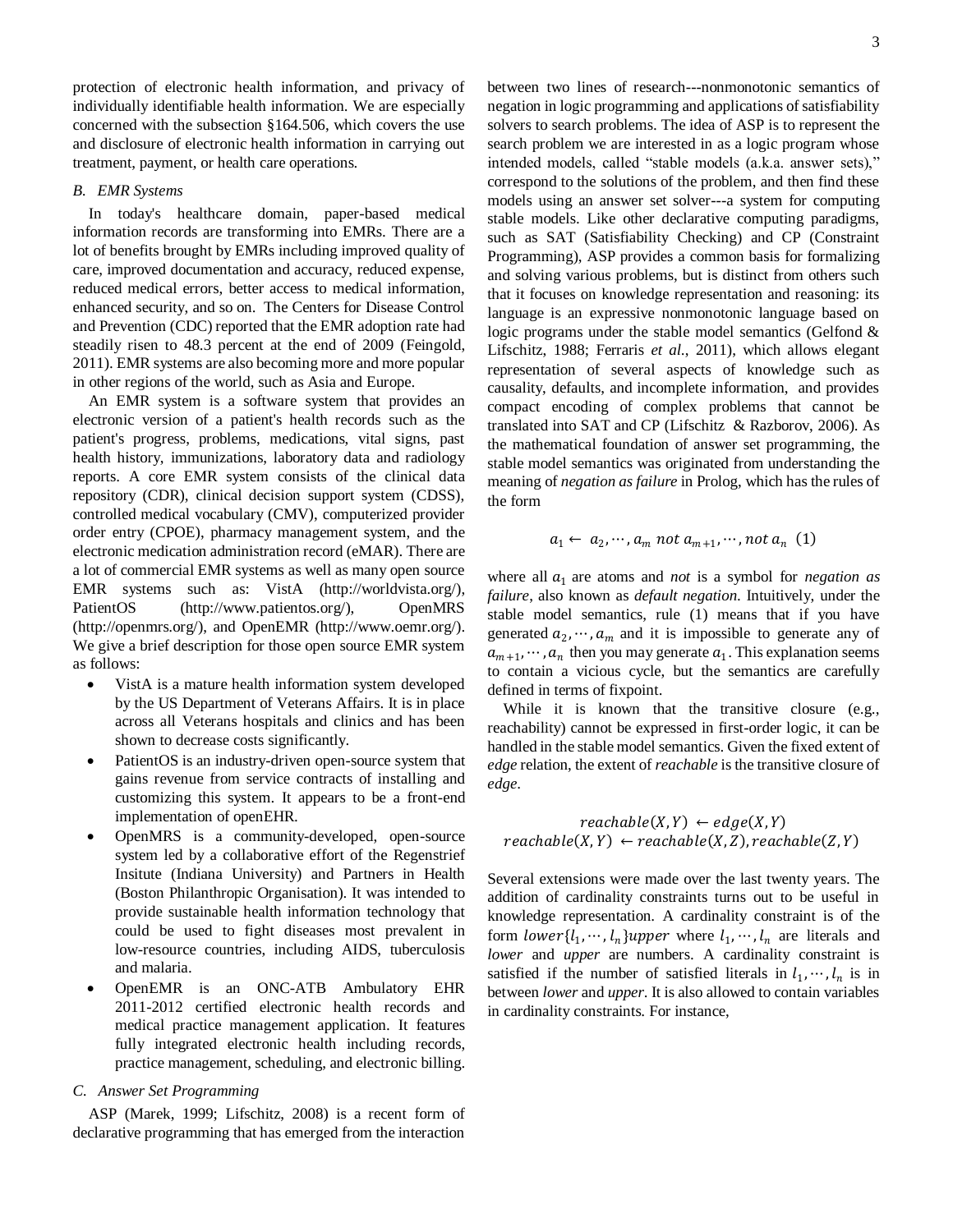protection of electronic health information, and privacy of individually identifiable health information. We are especially concerned with the subsection §164.506, which covers the use and disclosure of electronic health information in carrying out treatment, payment, or health care operations.

## *B. EMR Systems*

In today's healthcare domain, paper-based medical information records are transforming into EMRs. There are a lot of benefits brought by EMRs including improved quality of care, improved documentation and accuracy, reduced expense, reduced medical errors, better access to medical information, enhanced security, and so on. The Centers for Disease Control and Prevention (CDC) reported that the EMR adoption rate had steadily risen to 48.3 percent at the end of 2009 (Feingold, 2011). EMR systems are also becoming more and more popular in other regions of the world, such as Asia and Europe.

An EMR system is a software system that provides an electronic version of a patient's health records such as the patient's progress, problems, medications, vital signs, past health history, immunizations, laboratory data and radiology reports. A core EMR system consists of the clinical data repository (CDR), clinical decision support system (CDSS), controlled medical vocabulary (CMV), computerized provider order entry (CPOE), pharmacy management system, and the electronic medication administration record (eMAR). There are a lot of commercial EMR systems as well as many open source EMR systems such as: VistA (http://worldvista.org/), PatientOS [\(http://www.patientos.org/\)](http://www.patientos.org/), OpenMRS (http://openmrs.org/), and OpenEMR (http://www.oemr.org/). We give a brief description for those open source EMR system as follows:

- VistA is a mature health information system developed by the US Department of Veterans Affairs. It is in place across all Veterans hospitals and clinics and has been shown to decrease costs significantly.
- PatientOS is an industry-driven open-source system that gains revenue from service contracts of installing and customizing this system. It appears to be a front-end implementation of openEHR.
- OpenMRS is a community-developed, open-source system led by a collaborative effort of the Regenstrief Insitute (Indiana University) and Partners in Health (Boston Philanthropic Organisation). It was intended to provide sustainable health information technology that could be used to fight diseases most prevalent in low-resource countries, including AIDS, tuberculosis and malaria.
- OpenEMR is an ONC-ATB Ambulatory EHR 2011-2012 certified electronic health records and medical practice management application. It features fully integrated electronic health including records, practice management, scheduling, and electronic billing.

# *C. Answer Set Programming*

ASP (Marek, 1999; Lifschitz, 2008) is a recent form of declarative programming that has emerged from the interaction

between two lines of research---nonmonotonic semantics of negation in logic programming and applications of satisfiability solvers to search problems. The idea of ASP is to represent the search problem we are interested in as a logic program whose intended models, called "stable models (a.k.a. answer sets)," correspond to the solutions of the problem, and then find these models using an answer set solver---a system for computing stable models. Like other declarative computing paradigms, such as SAT (Satisfiability Checking) and CP (Constraint Programming), ASP provides a common basis for formalizing and solving various problems, but is distinct from others such that it focuses on knowledge representation and reasoning: its language is an expressive nonmonotonic language based on logic programs under the stable model semantics (Gelfond & Lifschitz, 1988; Ferraris *et al*., 2011), which allows elegant representation of several aspects of knowledge such as causality, defaults, and incomplete information, and provides compact encoding of complex problems that cannot be translated into SAT and CP (Lifschitz & Razborov, 2006). As the mathematical foundation of answer set programming, the stable model semantics was originated from understanding the meaning of *negation as failure* in Prolog, which has the rules of the form

$$
a_1 \leftarrow a_2, \cdots, a_m \text{ not } a_{m+1}, \cdots, \text{not } a_n \text{ (1)}
$$

where all  $a_1$  are atoms and *not* is a symbol for *negation* as *failure*, also known as *default negation*. Intuitively, under the stable model semantics, rule (1) means that if you have generated  $a_2, \dots, a_m$  and it is impossible to generate any of  $a_{m+1}, \dots, a_n$  then you may generate  $a_1$ . This explanation seems to contain a vicious cycle, but the semantics are carefully defined in terms of fixpoint.

While it is known that the transitive closure (e.g., reachability) cannot be expressed in first-order logic, it can be handled in the stable model semantics. Given the fixed extent of *edge* relation, the extent of *reachable* is the transitive closure of *edge*.

# $reachable(X, Y) \leftarrow edge(X, Y)$  $reachable(X, Y) \leftarrow reachable(X, Z), reachable(Z, Y)$

Several extensions were made over the last twenty years. The addition of cardinality constraints turns out to be useful in knowledge representation. A cardinality constraint is of the form  $lower\{l_1, \dots, l_n\} upper$  where  $l_1, \dots, l_n$  are literals and *lower* and *upper* are numbers. A cardinality constraint is satisfied if the number of satisfied literals in  $l_1, \dots, l_n$  is in between *lower* and *upper*. It is also allowed to contain variables in cardinality constraints. For instance,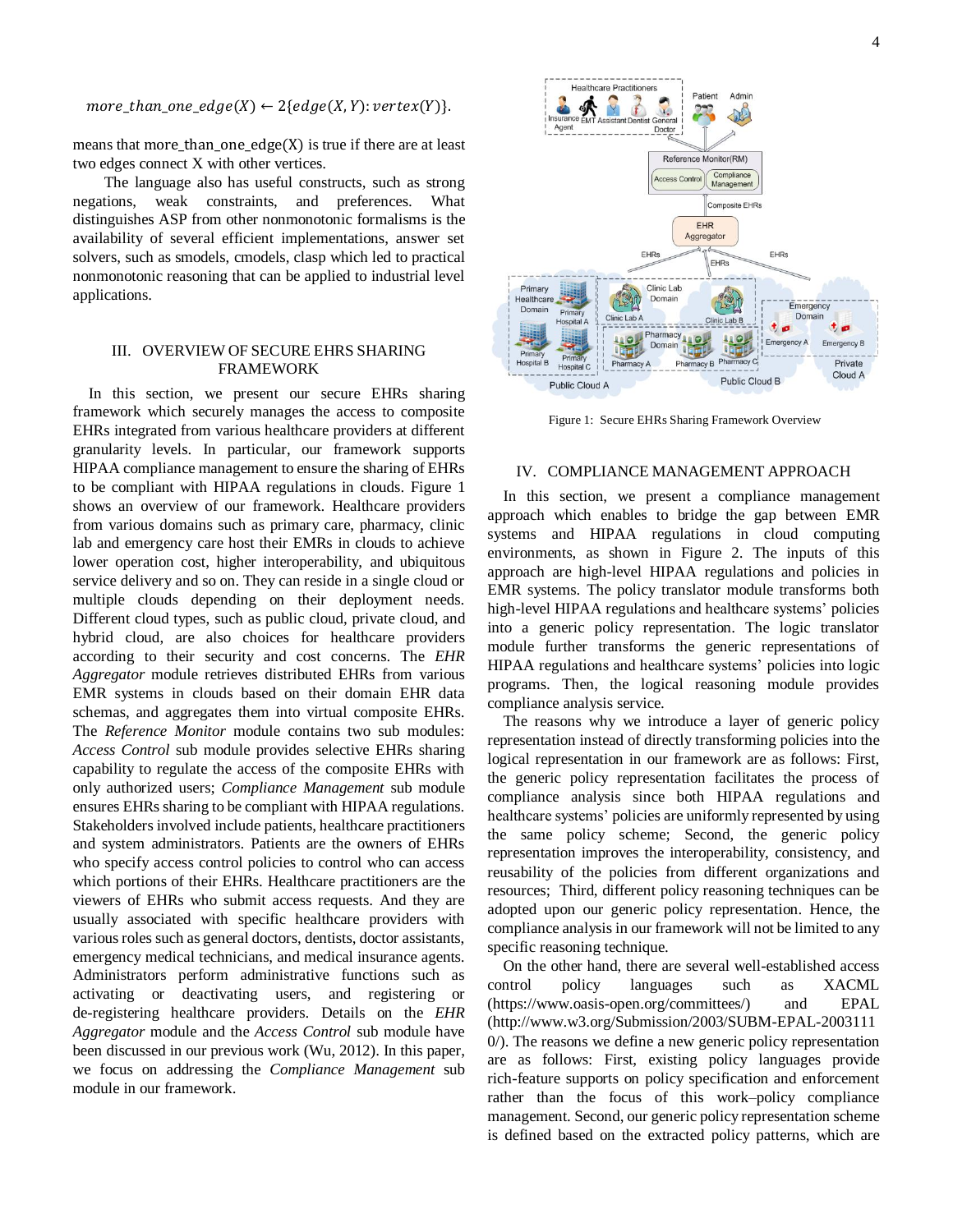$more\_than\_one\_edge(X) \leftarrow 2\{edge(X, Y) : vertex(Y)\}.$ 

means that more\_than\_one\_edge(X) is true if there are at least two edges connect X with other vertices.

The language also has useful constructs, such as strong negations, weak constraints, and preferences. What distinguishes ASP from other nonmonotonic formalisms is the availability of several efficient implementations, answer set solvers, such as smodels, cmodels, clasp which led to practical nonmonotonic reasoning that can be applied to industrial level applications.

# III. OVERVIEW OF SECURE EHRS SHARING FRAMEWORK

In this section, we present our secure EHRs sharing framework which securely manages the access to composite EHRs integrated from various healthcare providers at different granularity levels. In particular, our framework supports HIPAA compliance management to ensure the sharing of EHRs to be compliant with HIPAA regulations in clouds. Figure 1 shows an overview of our framework. Healthcare providers from various domains such as primary care, pharmacy, clinic lab and emergency care host their EMRs in clouds to achieve lower operation cost, higher interoperability, and ubiquitous service delivery and so on. They can reside in a single cloud or multiple clouds depending on their deployment needs. Different cloud types, such as public cloud, private cloud, and hybrid cloud, are also choices for healthcare providers according to their security and cost concerns. The *EHR Aggregator* module retrieves distributed EHRs from various EMR systems in clouds based on their domain EHR data schemas, and aggregates them into virtual composite EHRs. The *Reference Monitor* module contains two sub modules: *Access Control* sub module provides selective EHRs sharing capability to regulate the access of the composite EHRs with only authorized users; *Compliance Management* sub module ensures EHRs sharing to be compliant with HIPAA regulations. Stakeholders involved include patients, healthcare practitioners and system administrators. Patients are the owners of EHRs who specify access control policies to control who can access which portions of their EHRs. Healthcare practitioners are the viewers of EHRs who submit access requests. And they are usually associated with specific healthcare providers with various roles such as general doctors, dentists, doctor assistants, emergency medical technicians, and medical insurance agents. Administrators perform administrative functions such as activating or deactivating users, and registering or de-registering healthcare providers. Details on the *EHR Aggregator* module and the *Access Control* sub module have been discussed in our previous work (Wu, 2012). In this paper, we focus on addressing the *Compliance Management* sub module in our framework.



Figure 1: Secure EHRs Sharing Framework Overview

## IV. COMPLIANCE MANAGEMENT APPROACH

In this section, we present a compliance management approach which enables to bridge the gap between EMR systems and HIPAA regulations in cloud computing environments, as shown in Figure 2. The inputs of this approach are high-level HIPAA regulations and policies in EMR systems. The policy translator module transforms both high-level HIPAA regulations and healthcare systems' policies into a generic policy representation. The logic translator module further transforms the generic representations of HIPAA regulations and healthcare systems' policies into logic programs. Then, the logical reasoning module provides compliance analysis service.

The reasons why we introduce a layer of generic policy representation instead of directly transforming policies into the logical representation in our framework are as follows: First, the generic policy representation facilitates the process of compliance analysis since both HIPAA regulations and healthcare systems' policies are uniformly represented by using the same policy scheme; Second, the generic policy representation improves the interoperability, consistency, and reusability of the policies from different organizations and resources; Third, different policy reasoning techniques can be adopted upon our generic policy representation. Hence, the compliance analysis in our framework will not be limited to any specific reasoning technique.

On the other hand, there are several well-established access control policy languages such as XACML (https://www.oasis-open.org/committees/) and EPAL (http://www.w3.org/Submission/2003/SUBM-EPAL-2003111 0/). The reasons we define a new generic policy representation are as follows: First, existing policy languages provide rich-feature supports on policy specification and enforcement rather than the focus of this work–policy compliance management. Second, our generic policy representation scheme is defined based on the extracted policy patterns, which are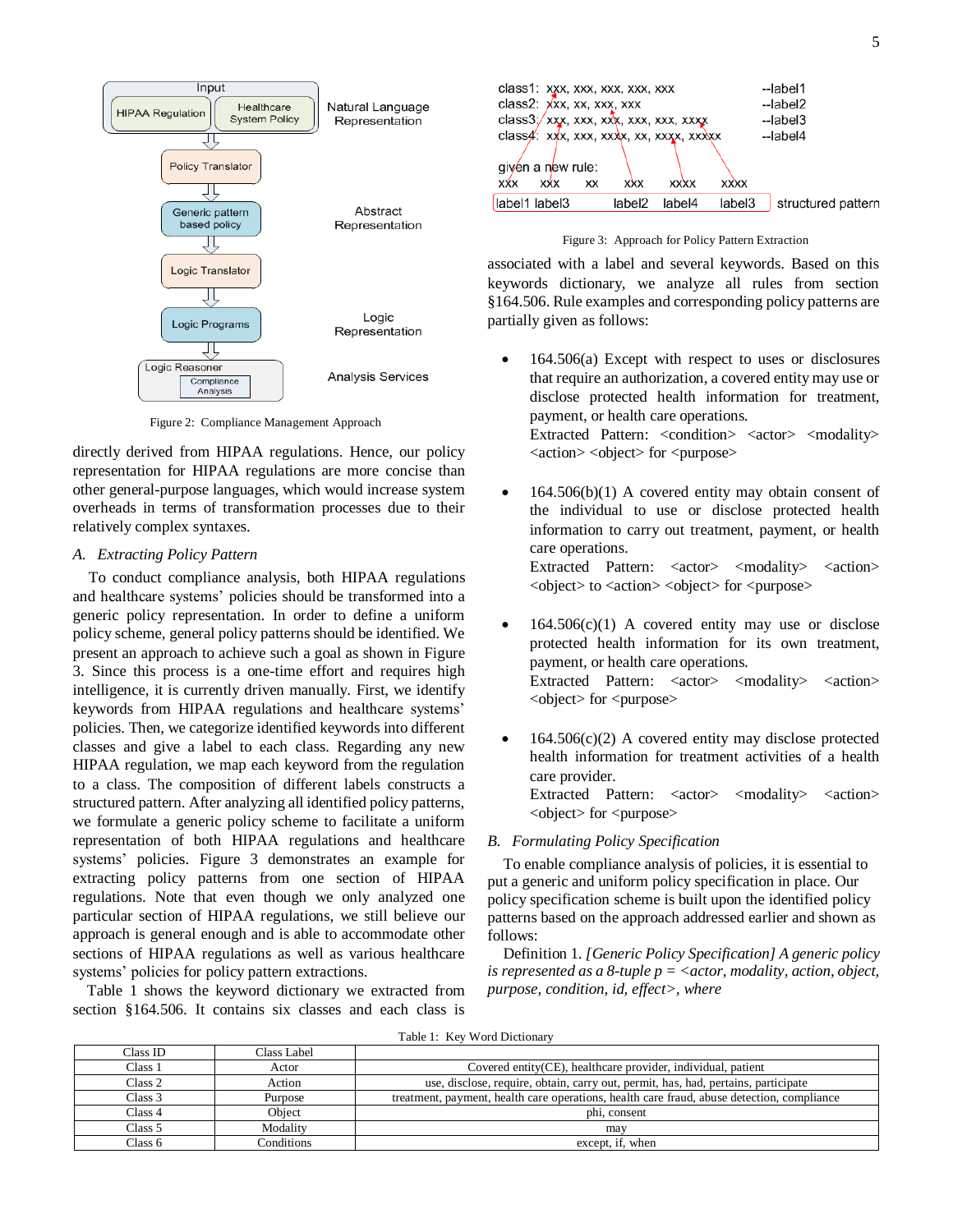

Figure 2: Compliance Management Approach

directly derived from HIPAA regulations. Hence, our policy representation for HIPAA regulations are more concise than other general-purpose languages, which would increase system overheads in terms of transformation processes due to their relatively complex syntaxes.

# *A. Extracting Policy Pattern*

To conduct compliance analysis, both HIPAA regulations and healthcare systems' policies should be transformed into a generic policy representation. In order to define a uniform policy scheme, general policy patterns should be identified. We present an approach to achieve such a goal as shown in Figure 3. Since this process is a one-time effort and requires high intelligence, it is currently driven manually. First, we identify keywords from HIPAA regulations and healthcare systems' policies. Then, we categorize identified keywords into different classes and give a label to each class. Regarding any new HIPAA regulation, we map each keyword from the regulation to a class. The composition of different labels constructs a structured pattern. After analyzing all identified policy patterns, we formulate a generic policy scheme to facilitate a uniform representation of both HIPAA regulations and healthcare systems' policies. Figure 3 demonstrates an example for extracting policy patterns from one section of HIPAA regulations. Note that even though we only analyzed one particular section of HIPAA regulations, we still believe our approach is general enough and is able to accommodate other sections of HIPAA regulations as well as various healthcare systems' policies for policy pattern extractions.

Table 1 shows the keyword dictionary we extracted from section §164.506. It contains six classes and each class is



Figure 3: Approach for Policy Pattern Extraction

associated with a label and several keywords. Based on this keywords dictionary, we analyze all rules from section §164.506. Rule examples and corresponding policy patterns are partially given as follows:

 164.506(a) Except with respect to uses or disclosures that require an authorization, a covered entity may use or disclose protected health information for treatment, payment, or health care operations. Extracted Pattern: <condition> <actor> <modality> <action> <object> for <purpose>

 $\bullet$  164.506(b)(1) A covered entity may obtain consent of the individual to use or disclose protected health information to carry out treatment, payment, or health care operations. Extracted Pattern: <actor> <modality> <action> <object> to <action> <object> for <purpose>

- $\bullet$  164.506(c)(1) A covered entity may use or disclose protected health information for its own treatment, payment, or health care operations. Extracted Pattern: <actor> <modality> <action> <object> for <purpose>
- $\bullet$  164.506(c)(2) A covered entity may disclose protected health information for treatment activities of a health care provider. Extracted Pattern: <actor> <modality> <action> <object> for <purpose>

## *B. Formulating Policy Specification*

To enable compliance analysis of policies, it is essential to put a generic and uniform policy specification in place. Our policy specification scheme is built upon the identified policy patterns based on the approach addressed earlier and shown as follows:

Definition 1. *[Generic Policy Specification] A generic policy is represented as a 8-tuple p = <actor, modality, action, object, purpose, condition, id, effect>, where*

Table 1: Key Word Dictionary

| Class ID           | Class Label |                                                                                            |  |  |
|--------------------|-------------|--------------------------------------------------------------------------------------------|--|--|
| Class 1            | Actor       | Covered entity (CE), healthcare provider, individual, patient                              |  |  |
| Class 2            | Action      | use, disclose, require, obtain, carry out, permit, has, had, pertains, participate         |  |  |
| Class 3            | Purpose     | treatment, payment, health care operations, health care fraud, abuse detection, compliance |  |  |
| Class 4            | Object      | phi. consent                                                                               |  |  |
| Class 5            | Modality    | may                                                                                        |  |  |
| Class <sub>6</sub> | Conditions  | except, if, when                                                                           |  |  |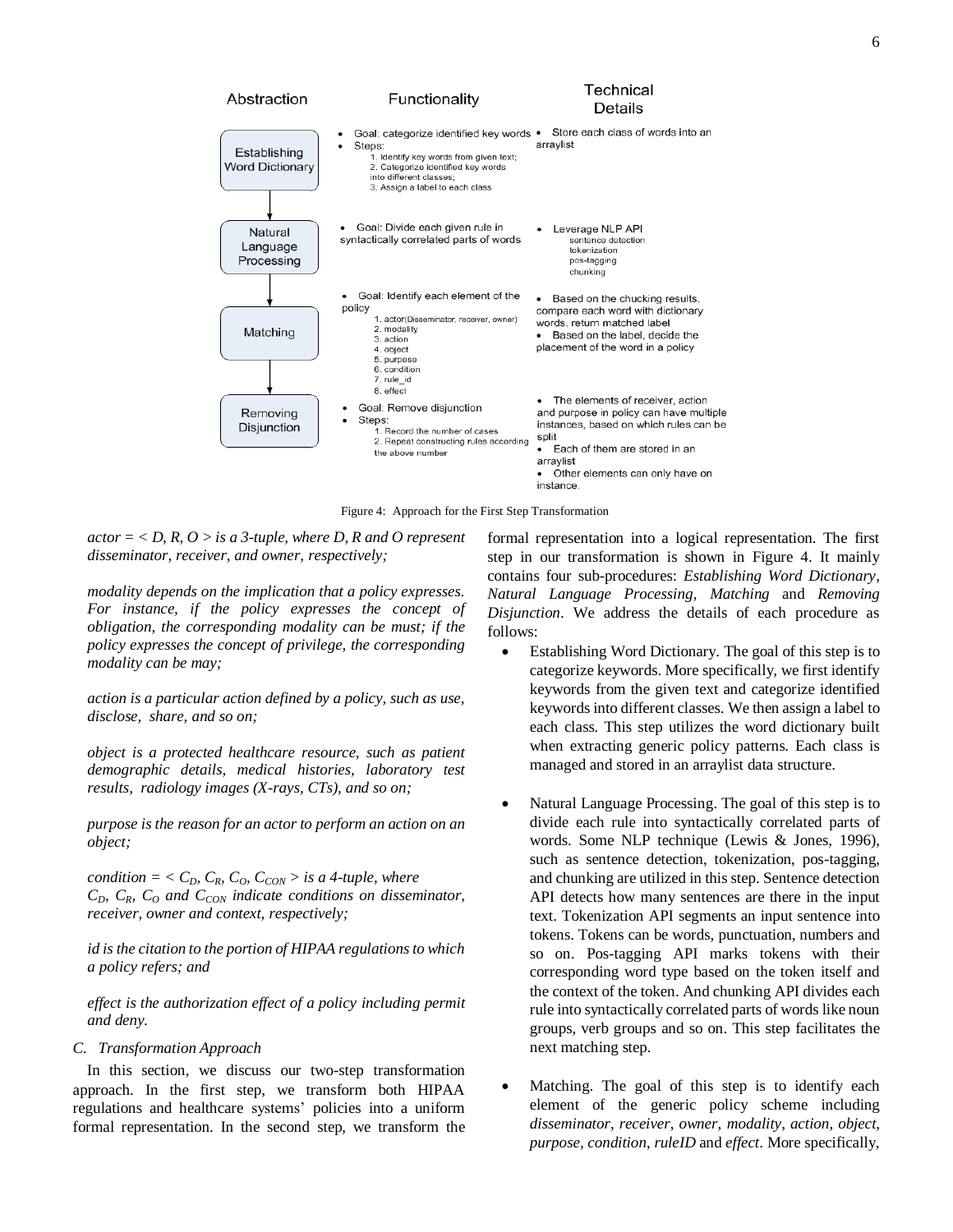

Figure 4: Approach for the First Step Transformation

 $actor = < D$ ,  $R$ ,  $O >$  *is a 3-tuple, where D, R and O represent disseminator, receiver, and owner, respectively;*

*modality depends on the implication that a policy expresses. For instance, if the policy expresses the concept of obligation, the corresponding modality can be must; if the policy expresses the concept of privilege, the corresponding modality can be may;*

*action is a particular action defined by a policy, such as use, disclose, share, and so on;*

*object is a protected healthcare resource, such as patient demographic details, medical histories, laboratory test results, radiology images (X-rays, CTs), and so on;*

*purpose is the reason for an actor to perform an action on an object;*

*condition* =  $\langle C_D, C_R, C_O, C_{CON} \rangle$  *is a 4-tuple, where CD, CR, C<sup>O</sup> and CCON indicate conditions on disseminator, receiver, owner and context, respectively;*

*id is the citation to the portion of HIPAA regulations to which a policy refers; and*

*effect is the authorization effect of a policy including permit and deny.*

# *C. Transformation Approach*

In this section, we discuss our two-step transformation approach. In the first step, we transform both HIPAA regulations and healthcare systems' policies into a uniform formal representation. In the second step, we transform the formal representation into a logical representation. The first step in our transformation is shown in Figure 4. It mainly contains four sub-procedures: *Establishing Word Dictionary*, *Natural Language Processing*, *Matching* and *Removing Disjunction*. We address the details of each procedure as follows:

- Establishing Word Dictionary. The goal of this step is to categorize keywords. More specifically, we first identify keywords from the given text and categorize identified keywords into different classes. We then assign a label to each class. This step utilizes the word dictionary built when extracting generic policy patterns. Each class is managed and stored in an arraylist data structure.
- Natural Language Processing. The goal of this step is to divide each rule into syntactically correlated parts of words. Some NLP technique (Lewis & Jones, 1996), such as sentence detection, tokenization, pos-tagging, and chunking are utilized in this step. Sentence detection API detects how many sentences are there in the input text. Tokenization API segments an input sentence into tokens. Tokens can be words, punctuation, numbers and so on. Pos-tagging API marks tokens with their corresponding word type based on the token itself and the context of the token. And chunking API divides each rule into syntactically correlated parts of words like noun groups, verb groups and so on. This step facilitates the next matching step.
- Matching. The goal of this step is to identify each element of the generic policy scheme including *disseminator*, *receiver*, *owner*, *modality*, *action*, *object*, *purpose*, *condition*, *ruleID* and *effect*. More specifically,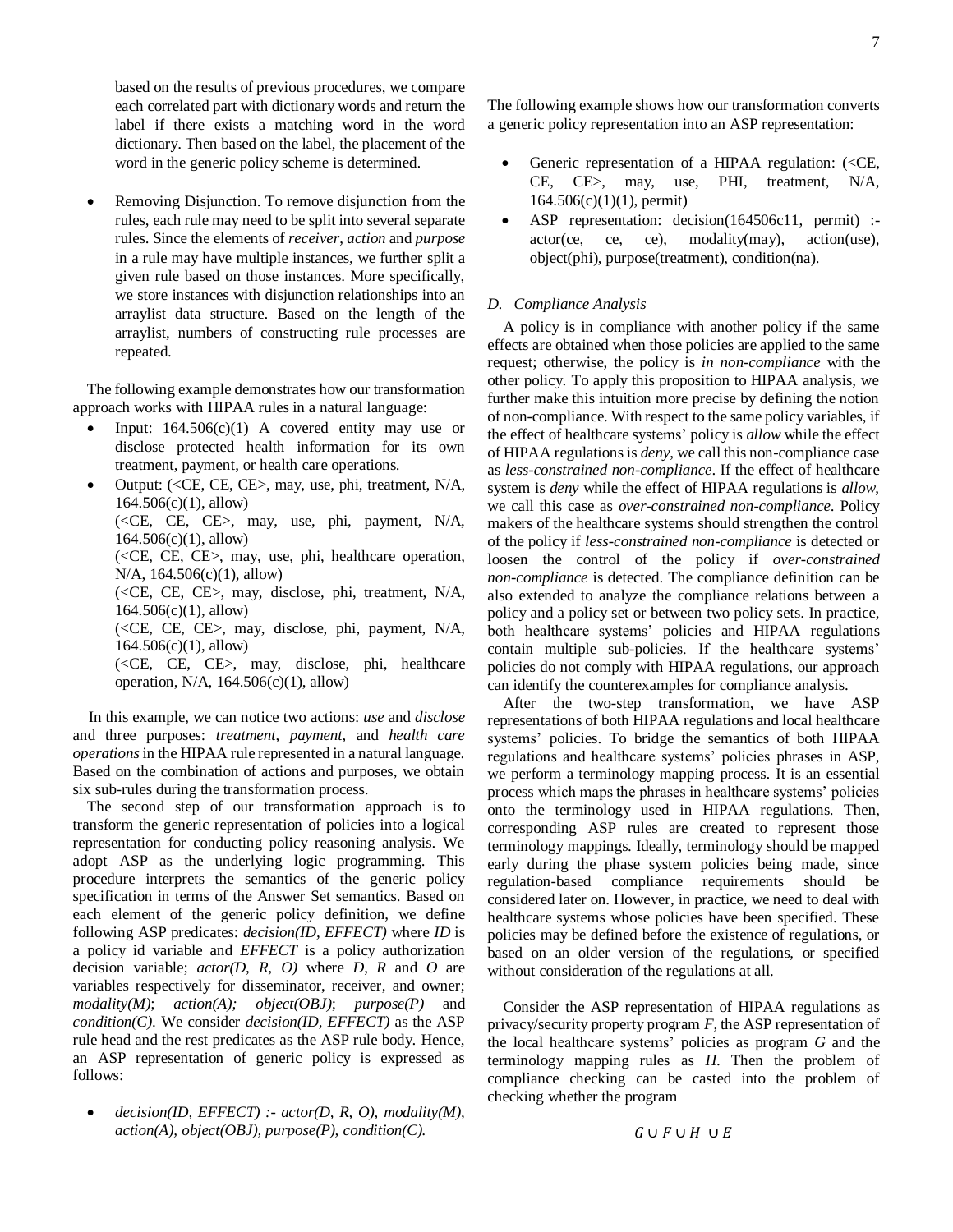based on the results of previous procedures, we compare each correlated part with dictionary words and return the label if there exists a matching word in the word dictionary. Then based on the label, the placement of the word in the generic policy scheme is determined.

 Removing Disjunction. To remove disjunction from the rules, each rule may need to be split into several separate rules. Since the elements of *receiver*, *action* and *purpose* in a rule may have multiple instances, we further split a given rule based on those instances. More specifically, we store instances with disjunction relationships into an arraylist data structure. Based on the length of the arraylist, numbers of constructing rule processes are repeated.

The following example demonstrates how our transformation approach works with HIPAA rules in a natural language:

- Input:  $164.506(c)(1)$  A covered entity may use or disclose protected health information for its own treatment, payment, or health care operations.
- Output: (<CE, CE, CE>, may, use, phi, treatment, N/A, 164.506(c)(1), allow) (<CE, CE, CE>, may, use, phi, payment, N/A, 164.506(c)(1), allow) (<CE, CE, CE>, may, use, phi, healthcare operation, N/A, 164.506(c)(1), allow) (<CE, CE, CE>, may, disclose, phi, treatment, N/A, 164.506(c)(1), allow) (<CE, CE, CE>, may, disclose, phi, payment, N/A, 164.506(c)(1), allow) (<CE, CE, CE>, may, disclose, phi, healthcare operation, N/A, 164.506(c)(1), allow)

In this example, we can notice two actions: *use* and *disclose* and three purposes: *treatment*, *payment*, and *health care operations*in the HIPAA rule represented in a natural language. Based on the combination of actions and purposes, we obtain six sub-rules during the transformation process.

The second step of our transformation approach is to transform the generic representation of policies into a logical representation for conducting policy reasoning analysis. We adopt ASP as the underlying logic programming. This procedure interprets the semantics of the generic policy specification in terms of the Answer Set semantics. Based on each element of the generic policy definition, we define following ASP predicates: *decision(ID, EFFECT)* where *ID* is a policy id variable and *EFFECT* is a policy authorization decision variable; *actor(D, R, O)* where *D*, *R* and *O* are variables respectively for disseminator, receiver, and owner; *modality(M)*; *action(A); object(OBJ)*; *purpose(P)* and *condition(C)*. We consider *decision(ID, EFFECT)* as the ASP rule head and the rest predicates as the ASP rule body. Hence, an ASP representation of generic policy is expressed as follows:

 *decision(ID, EFFECT) :- actor(D, R, O), modality(M), action(A), object(OBJ), purpose(P), condition(C).*

The following example shows how our transformation converts a generic policy representation into an ASP representation:

- Generic representation of a HIPAA regulation: (<CE, CE, CE>, may, use, PHI, treatment, N/A,  $164.506(c)(1)(1)$ , permit)
- ASP representation: decision(164506c11, permit) : $actor(ce, ce, ce), modality(max), action(use),$ object(phi), purpose(treatment), condition(na).

# *D. Compliance Analysis*

A policy is in compliance with another policy if the same effects are obtained when those policies are applied to the same request; otherwise, the policy is *in non-compliance* with the other policy. To apply this proposition to HIPAA analysis, we further make this intuition more precise by defining the notion of non-compliance. With respect to the same policy variables, if the effect of healthcare systems' policy is *allow* while the effect of HIPAA regulations is *deny*, we call this non-compliance case as *less-constrained non-compliance*. If the effect of healthcare system is *deny* while the effect of HIPAA regulations is *allow*, we call this case as *over-constrained non-compliance*. Policy makers of the healthcare systems should strengthen the control of the policy if *less-constrained non-compliance* is detected or loosen the control of the policy if *over-constrained non-compliance* is detected. The compliance definition can be also extended to analyze the compliance relations between a policy and a policy set or between two policy sets. In practice, both healthcare systems' policies and HIPAA regulations contain multiple sub-policies. If the healthcare systems' policies do not comply with HIPAA regulations, our approach can identify the counterexamples for compliance analysis.

After the two-step transformation, we have ASP representations of both HIPAA regulations and local healthcare systems' policies. To bridge the semantics of both HIPAA regulations and healthcare systems' policies phrases in ASP, we perform a terminology mapping process. It is an essential process which maps the phrases in healthcare systems' policies onto the terminology used in HIPAA regulations. Then, corresponding ASP rules are created to represent those terminology mappings. Ideally, terminology should be mapped early during the phase system policies being made, since regulation-based compliance requirements should be considered later on. However, in practice, we need to deal with healthcare systems whose policies have been specified. These policies may be defined before the existence of regulations, or based on an older version of the regulations, or specified without consideration of the regulations at all.

Consider the ASP representation of HIPAA regulations as privacy/security property program *F*, the ASP representation of the local healthcare systems' policies as program *G* and the terminology mapping rules as *H*. Then the problem of compliance checking can be casted into the problem of checking whether the program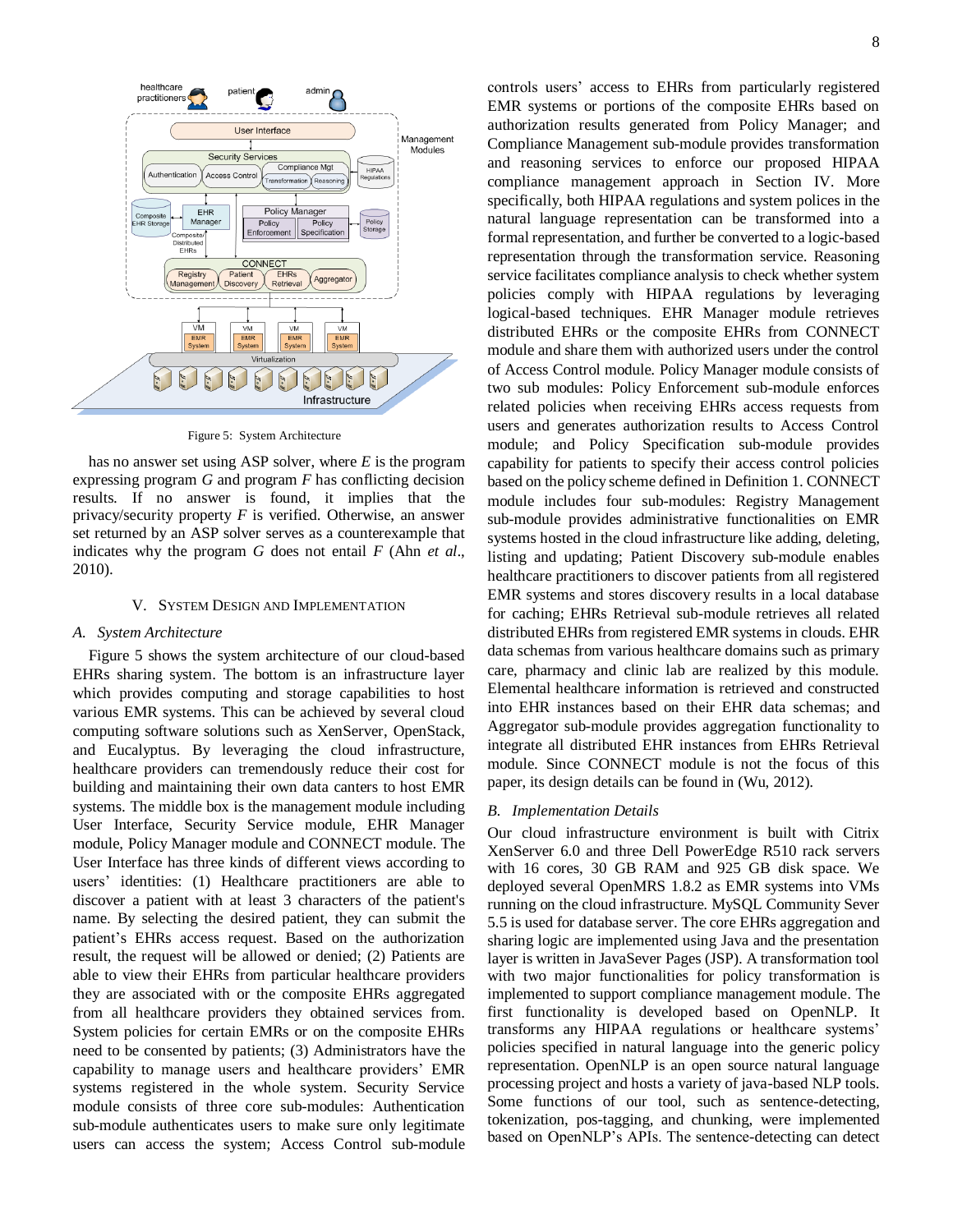

Figure 5: System Architecture

has no answer set using ASP solver, where *E* is the program expressing program *G* and program *F* has conflicting decision results. If no answer is found, it implies that the privacy/security property *F* is verified. Otherwise, an answer set returned by an ASP solver serves as a counterexample that indicates why the program *G* does not entail *F* (Ahn *et al*., 2010).

# V. SYSTEM DESIGN AND IMPLEMENTATION

# *A. System Architecture*

Figure 5 shows the system architecture of our cloud-based EHRs sharing system. The bottom is an infrastructure layer which provides computing and storage capabilities to host various EMR systems. This can be achieved by several cloud computing software solutions such as XenServer, OpenStack, and Eucalyptus. By leveraging the cloud infrastructure, healthcare providers can tremendously reduce their cost for building and maintaining their own data canters to host EMR systems. The middle box is the management module including User Interface, Security Service module, EHR Manager module, Policy Manager module and CONNECT module. The User Interface has three kinds of different views according to users' identities: (1) Healthcare practitioners are able to discover a patient with at least 3 characters of the patient's name. By selecting the desired patient, they can submit the patient's EHRs access request. Based on the authorization result, the request will be allowed or denied; (2) Patients are able to view their EHRs from particular healthcare providers they are associated with or the composite EHRs aggregated from all healthcare providers they obtained services from. System policies for certain EMRs or on the composite EHRs need to be consented by patients; (3) Administrators have the capability to manage users and healthcare providers' EMR systems registered in the whole system. Security Service module consists of three core sub-modules: Authentication sub-module authenticates users to make sure only legitimate users can access the system; Access Control sub-module controls users' access to EHRs from particularly registered EMR systems or portions of the composite EHRs based on authorization results generated from Policy Manager; and Compliance Management sub-module provides transformation and reasoning services to enforce our proposed HIPAA compliance management approach in Section IV. More specifically, both HIPAA regulations and system polices in the natural language representation can be transformed into a formal representation, and further be converted to a logic-based representation through the transformation service. Reasoning service facilitates compliance analysis to check whether system policies comply with HIPAA regulations by leveraging logical-based techniques. EHR Manager module retrieves distributed EHRs or the composite EHRs from CONNECT module and share them with authorized users under the control of Access Control module. Policy Manager module consists of two sub modules: Policy Enforcement sub-module enforces related policies when receiving EHRs access requests from users and generates authorization results to Access Control module; and Policy Specification sub-module provides capability for patients to specify their access control policies based on the policy scheme defined in Definition 1. CONNECT module includes four sub-modules: Registry Management sub-module provides administrative functionalities on EMR systems hosted in the cloud infrastructure like adding, deleting, listing and updating; Patient Discovery sub-module enables healthcare practitioners to discover patients from all registered EMR systems and stores discovery results in a local database for caching; EHRs Retrieval sub-module retrieves all related distributed EHRs from registered EMR systems in clouds. EHR data schemas from various healthcare domains such as primary care, pharmacy and clinic lab are realized by this module. Elemental healthcare information is retrieved and constructed into EHR instances based on their EHR data schemas; and Aggregator sub-module provides aggregation functionality to integrate all distributed EHR instances from EHRs Retrieval module. Since CONNECT module is not the focus of this paper, its design details can be found in (Wu, 2012).

#### *B. Implementation Details*

Our cloud infrastructure environment is built with Citrix XenServer 6.0 and three Dell PowerEdge R510 rack servers with 16 cores, 30 GB RAM and 925 GB disk space. We deployed several OpenMRS 1.8.2 as EMR systems into VMs running on the cloud infrastructure. MySQL Community Sever 5.5 is used for database server. The core EHRs aggregation and sharing logic are implemented using Java and the presentation layer is written in JavaSever Pages (JSP). A transformation tool with two major functionalities for policy transformation is implemented to support compliance management module. The first functionality is developed based on OpenNLP. It transforms any HIPAA regulations or healthcare systems' policies specified in natural language into the generic policy representation. OpenNLP is an open source natural language processing project and hosts a variety of java-based NLP tools. Some functions of our tool, such as sentence-detecting, tokenization, pos-tagging, and chunking, were implemented based on OpenNLP's APIs. The sentence-detecting can detect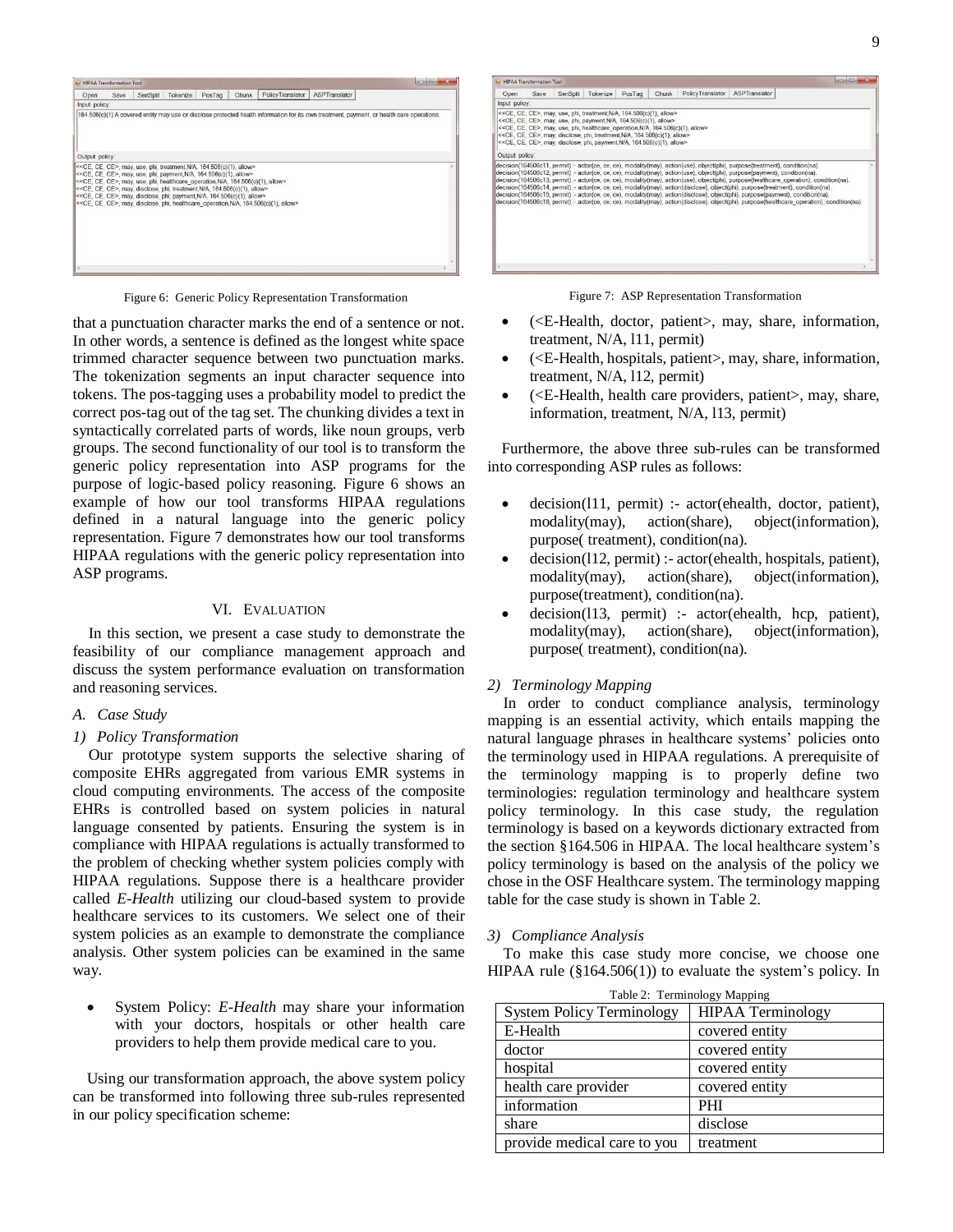

Figure 6: Generic Policy Representation Transformation Figure 7: ASP Representation Transformation

that a punctuation character marks the end of a sentence or not. In other words, a sentence is defined as the longest white space trimmed character sequence between two punctuation marks. The tokenization segments an input character sequence into tokens. The pos-tagging uses a probability model to predict the correct pos-tag out of the tag set. The chunking divides a text in syntactically correlated parts of words, like noun groups, verb groups. The second functionality of our tool is to transform the generic policy representation into ASP programs for the purpose of logic-based policy reasoning. Figure 6 shows an example of how our tool transforms HIPAA regulations defined in a natural language into the generic policy representation. Figure 7 demonstrates how our tool transforms HIPAA regulations with the generic policy representation into ASP programs.

# VI. EVALUATION

In this section, we present a case study to demonstrate the feasibility of our compliance management approach and discuss the system performance evaluation on transformation and reasoning services.

*A. Case Study*

# *1) Policy Transformation*

Our prototype system supports the selective sharing of composite EHRs aggregated from various EMR systems in cloud computing environments. The access of the composite EHRs is controlled based on system policies in natural language consented by patients. Ensuring the system is in compliance with HIPAA regulations is actually transformed to the problem of checking whether system policies comply with HIPAA regulations. Suppose there is a healthcare provider called *E-Health* utilizing our cloud-based system to provide healthcare services to its customers. We select one of their system policies as an example to demonstrate the compliance analysis. Other system policies can be examined in the same way.

 System Policy: *E-Health* may share your information with your doctors, hospitals or other health care providers to help them provide medical care to you.

Using our transformation approach, the above system policy can be transformed into following three sub-rules represented in our policy specification scheme:

| Open           | Save | SenSplit | Tokenize                                                                                                                                                                                                                                                                                                                                                                               | PosTag | Chunk | Policy Translator | ASPTranslator                                                                                                                                                                                                                                                                                                                                                                                                                                                                                                                                                     |  |
|----------------|------|----------|----------------------------------------------------------------------------------------------------------------------------------------------------------------------------------------------------------------------------------------------------------------------------------------------------------------------------------------------------------------------------------------|--------|-------|-------------------|-------------------------------------------------------------------------------------------------------------------------------------------------------------------------------------------------------------------------------------------------------------------------------------------------------------------------------------------------------------------------------------------------------------------------------------------------------------------------------------------------------------------------------------------------------------------|--|
| Input policy:  |      |          |                                                                                                                                                                                                                                                                                                                                                                                        |        |       |                   |                                                                                                                                                                                                                                                                                                                                                                                                                                                                                                                                                                   |  |
|                |      |          | << CE, CE, CE>, may, use, phi, treatment, N/A, 164, 506(c)(1), allow><br><< CE, CE, CE>, may, use, phi, payment, N/A, 164.506(c)(1), allow><br><< CE, CE, CE>, may, use, phi, healthcare operation, N/A, 164.506(c)(1), allow><br><< CE, CE, CE>, may, disclose, phi, treatment, N/A, 164.506(c)(1), allow><br><< CE, CE, CE>, may, disclose, phi, payment, N/A, 164.506(c)(1), allow> |        |       |                   |                                                                                                                                                                                                                                                                                                                                                                                                                                                                                                                                                                   |  |
| Output policy: |      |          |                                                                                                                                                                                                                                                                                                                                                                                        |        |       |                   |                                                                                                                                                                                                                                                                                                                                                                                                                                                                                                                                                                   |  |
|                |      |          |                                                                                                                                                                                                                                                                                                                                                                                        |        |       |                   | decision(164506c13, permit) :- actor(ce, ce, ce), modality(may), action(use), object(phi), purpose(healthcare operation), condition(na).<br>decision(164506c14, permit) - actor(ce, ce, ce), modality(may), action(disclose), object(phi), purpose(treatment), condition(na),<br>decision(164506c15, permit) :- actor(ce, ce, ce), modality(may), action(disclose), object(phi), purpose(payment), condition(na).<br>decision(164506c16, permit) - actor(ce, ce, ce), modality(may), action(disclose), object(phi), purpose(healthcare operation), condition(na), |  |

- (<E-Health, doctor, patient>, may, share, information, treatment, N/A, l11, permit)
- (<E-Health, hospitals, patient>, may, share, information, treatment, N/A, l12, permit)
- $\bullet$  ( $\lt E$ -Health, health care providers, patient>, may, share, information, treatment, N/A, l13, permit)

Furthermore, the above three sub-rules can be transformed into corresponding ASP rules as follows:

- decision(l11, permit) :- actor(ehealth, doctor, patient), modality(may), action(share), object(information), purpose( treatment), condition(na).
- decision(l12, permit) :- actor(ehealth, hospitals, patient), modality(may), action(share), object(information), purpose(treatment), condition(na).
- decision(l13, permit) :- actor(ehealth, hcp, patient), modality(may), action(share), object(information), purpose( treatment), condition(na).

# *2) Terminology Mapping*

In order to conduct compliance analysis, terminology mapping is an essential activity, which entails mapping the natural language phrases in healthcare systems' policies onto the terminology used in HIPAA regulations. A prerequisite of the terminology mapping is to properly define two terminologies: regulation terminology and healthcare system policy terminology. In this case study, the regulation terminology is based on a keywords dictionary extracted from the section §164.506 in HIPAA. The local healthcare system's policy terminology is based on the analysis of the policy we chose in the OSF Healthcare system. The terminology mapping table for the case study is shown in Table 2.

## *3) Compliance Analysis*

To make this case study more concise, we choose one HIPAA rule (§164.506(1)) to evaluate the system's policy. In

| Table 2: Terminology Mapping     |                          |  |  |  |
|----------------------------------|--------------------------|--|--|--|
| <b>System Policy Terminology</b> | <b>HIPAA Terminology</b> |  |  |  |
| E-Health                         | covered entity           |  |  |  |
| doctor                           | covered entity           |  |  |  |
| hospital                         | covered entity           |  |  |  |
| health care provider             | covered entity           |  |  |  |
| information                      | <b>PHI</b>               |  |  |  |
| share                            | disclose                 |  |  |  |
| provide medical care to you      | treatment                |  |  |  |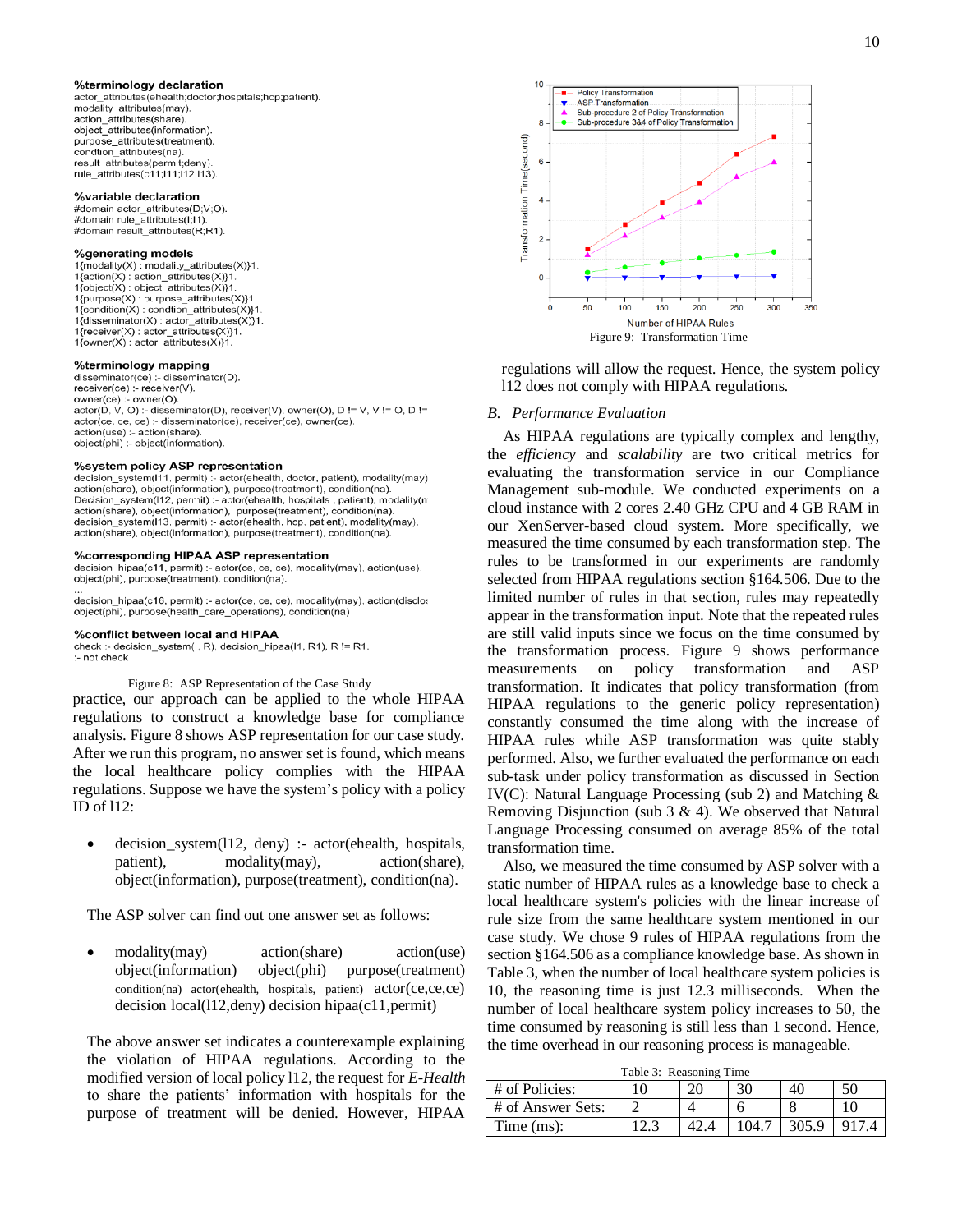#### %terminology declaration

actor attributes(ehealth;doctor;hospitals;hcp;patient). modality attributes(may). action\_attributes(share). object\_attributes(information) purpose attributes(treatment) condtion attributes(na). result attributes(permit;deny) rule attributes(c11:111:12:113)

#### %variable declaration

#domain actor\_attributes(D;V;O)<br>#domain rule\_attributes(I:I1). #domain result\_attributes(R;R1)

#### %generating models

1{modality(X) : modality\_attributes(X)}1.<br>1{action(X) : action\_attributes(X)}1. 1{object(X): object\_attributes(X)}1 1{purpose(X): purpose\_attributes(X)}1.  $1$ {condition(X) : condtion\_attributes(X)}1 1{disseminator(X) : actor\_attributes(X)}1. 1{receiver(X): actor\_attributes(X)}1.  $1$ {owner(X) : actor attributes(X)}1.

## %terminology mapping

disseminator(ce) :- disseminator(D). receiver(ce) :- receiver(V). owner(ce) :- owner(O). actor(D, V, O) :- disseminator(D), receiver(V), owner(O), D != V, V != O, D != actor(ce, ce, ce) :- disseminator(ce), receiver(ce), owner(ce). action(use) :- action(share). object(phi) :- object(information)

# %system policy ASP representation

decision system(111, permit) :- actor(ehealth, doctor, patient), modality(may) action(share), object(information), purpose(treatment), condition(na). Decision\_system(I12, permit) :- actor(ehealth, hospitals, patient), modality(m action(share), object(information), purpose(treatment), condition(na), decision\_system(113, permit) :- actor(ehealth, hcp, patient), modality(may), action(share), object(information), purpose(treatment), condition(na).

#### %corresponding HIPAA ASP representation

decision\_hipaa(c11, permit) :- actor(ce, ce, ce), modality(may), action(use), object(phi), purpose(treatment), condition(na).

decision\_hipaa(c16, permit) :- actor(ce, ce, ce), modality(may), action(disclos object(phi), purpose(health\_care\_operations), condition(na)

#### %conflict between local and HIPAA

check :- decision\_system(I, R), decision\_hipaa(I1, R1), R != R1. :- not check

#### Figure 8: ASP Representation of the Case Study

practice, our approach can be applied to the whole HIPAA regulations to construct a knowledge base for compliance analysis. Figure 8 shows ASP representation for our case study. After we run this program, no answer set is found, which means the local healthcare policy complies with the HIPAA regulations. Suppose we have the system's policy with a policy ID of l12:

 decision\_system(l12, deny) :- actor(ehealth, hospitals, patient), modality(may), action(share), object(information), purpose(treatment), condition(na).

The ASP solver can find out one answer set as follows:

 modality(may) action(share) action(use) object(information) object(phi) purpose(treatment) condition(na) actor(ehealth, hospitals, patient) actor(ce,ce,ce) decision local(l12,deny) decision hipaa(c11,permit)

The above answer set indicates a counterexample explaining the violation of HIPAA regulations. According to the modified version of local policy l12, the request for *E-Health* to share the patients' information with hospitals for the purpose of treatment will be denied. However, HIPAA



regulations will allow the request. Hence, the system policy l12 does not comply with HIPAA regulations.

#### *B. Performance Evaluation*

As HIPAA regulations are typically complex and lengthy, the *efficiency* and *scalability* are two critical metrics for evaluating the transformation service in our Compliance Management sub-module. We conducted experiments on a cloud instance with 2 cores 2.40 GHz CPU and 4 GB RAM in our XenServer-based cloud system. More specifically, we measured the time consumed by each transformation step. The rules to be transformed in our experiments are randomly selected from HIPAA regulations section §164.506. Due to the limited number of rules in that section, rules may repeatedly appear in the transformation input. Note that the repeated rules are still valid inputs since we focus on the time consumed by the transformation process. Figure 9 shows performance measurements on policy transformation and ASP transformation. It indicates that policy transformation (from HIPAA regulations to the generic policy representation) constantly consumed the time along with the increase of HIPAA rules while ASP transformation was quite stably performed. Also, we further evaluated the performance on each sub-task under policy transformation as discussed in Section IV(C): Natural Language Processing (sub 2) and Matching & Removing Disjunction (sub  $3 \& 4$ ). We observed that Natural Language Processing consumed on average 85% of the total transformation time.

Also, we measured the time consumed by ASP solver with a static number of HIPAA rules as a knowledge base to check a local healthcare system's policies with the linear increase of rule size from the same healthcare system mentioned in our case study. We chose 9 rules of HIPAA regulations from the section §164.506 as a compliance knowledge base. As shown in Table 3, when the number of local healthcare system policies is 10, the reasoning time is just 12.3 milliseconds. When the number of local healthcare system policy increases to 50, the time consumed by reasoning is still less than 1 second. Hence, the time overhead in our reasoning process is manageable.

|  | Table 3: Reasoning Time |  |
|--|-------------------------|--|
|--|-------------------------|--|

| # of Policies:    |  | 30 |              |  |
|-------------------|--|----|--------------|--|
| # of Answer Sets: |  |    |              |  |
| Time (ms):        |  |    | <b>205.0</b> |  |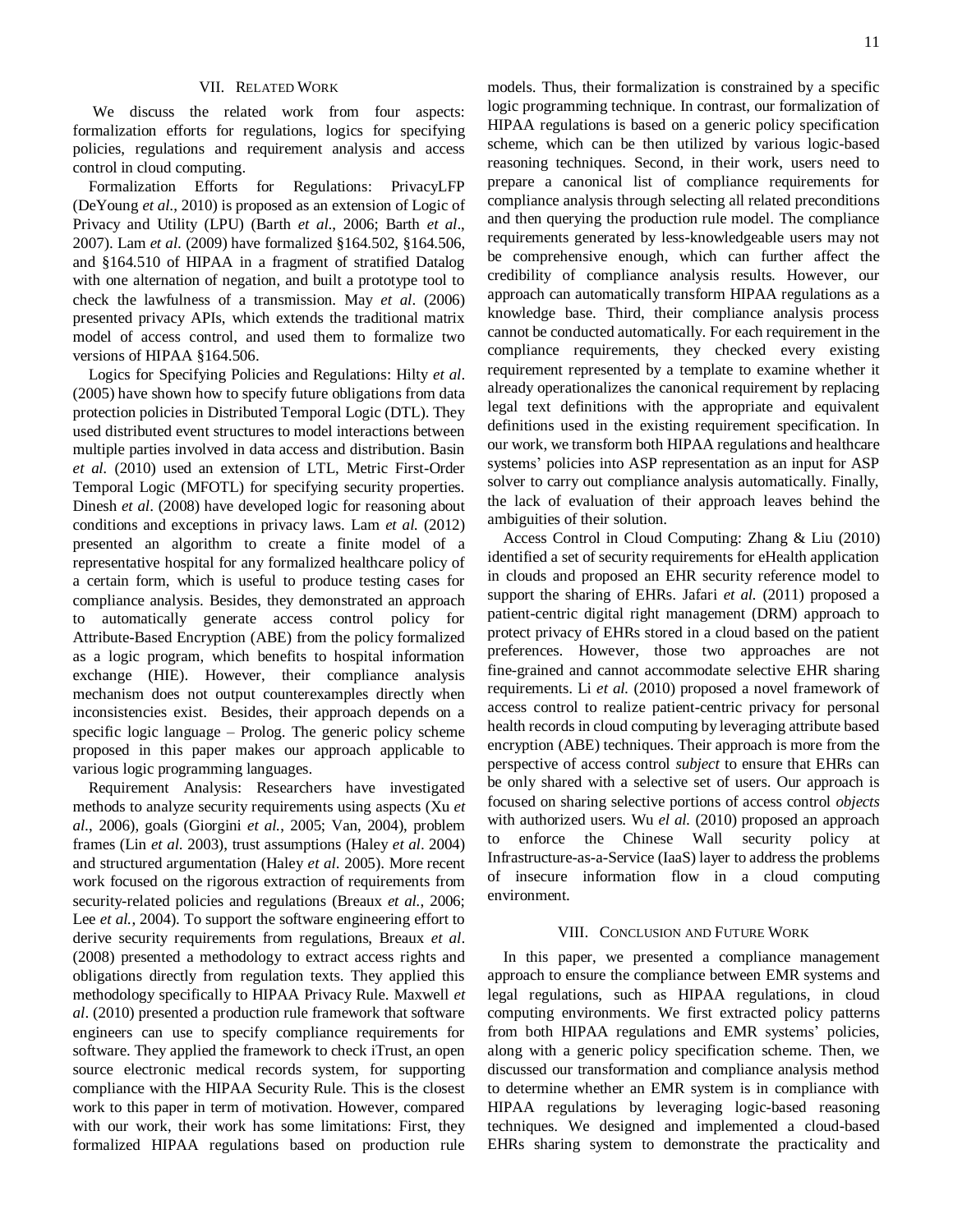# VII. RELATED WORK

We discuss the related work from four aspects: formalization efforts for regulations, logics for specifying policies, regulations and requirement analysis and access control in cloud computing.

Formalization Efforts for Regulations: PrivacyLFP (DeYoung *et al*., 2010) is proposed as an extension of Logic of Privacy and Utility (LPU) (Barth *et al*., 2006; Barth *et al*., 2007). Lam *et al*. (2009) have formalized §164.502, §164.506, and §164.510 of HIPAA in a fragment of stratified Datalog with one alternation of negation, and built a prototype tool to check the lawfulness of a transmission. May *et al*. (2006) presented privacy APIs, which extends the traditional matrix model of access control, and used them to formalize two versions of HIPAA §164.506.

Logics for Specifying Policies and Regulations: Hilty *et al*. (2005) have shown how to specify future obligations from data protection policies in Distributed Temporal Logic (DTL). They used distributed event structures to model interactions between multiple parties involved in data access and distribution. Basin *et al.* (2010) used an extension of LTL, Metric First-Order Temporal Logic (MFOTL) for specifying security properties. Dinesh *et al*. (2008) have developed logic for reasoning about conditions and exceptions in privacy laws. Lam *et al.* (2012) presented an algorithm to create a finite model of a representative hospital for any formalized healthcare policy of a certain form, which is useful to produce testing cases for compliance analysis. Besides, they demonstrated an approach to automatically generate access control policy for Attribute-Based Encryption (ABE) from the policy formalized as a logic program, which benefits to hospital information exchange (HIE). However, their compliance analysis mechanism does not output counterexamples directly when inconsistencies exist. Besides, their approach depends on a specific logic language – Prolog. The generic policy scheme proposed in this paper makes our approach applicable to various logic programming languages.

Requirement Analysis: Researchers have investigated methods to analyze security requirements using aspects (Xu *et al.*, 2006), goals (Giorgini *et al.*, 2005; Van, 2004), problem frames (Lin *et al*. 2003), trust assumptions (Haley *et al*. 2004) and structured argumentation (Haley *et al*. 2005). More recent work focused on the rigorous extraction of requirements from security-related policies and regulations (Breaux *et al.*, 2006; Lee *et al.*, 2004). To support the software engineering effort to derive security requirements from regulations, Breaux *et al*. (2008) presented a methodology to extract access rights and obligations directly from regulation texts. They applied this methodology specifically to HIPAA Privacy Rule. Maxwell *et al*. (2010) presented a production rule framework that software engineers can use to specify compliance requirements for software. They applied the framework to check iTrust, an open source electronic medical records system, for supporting compliance with the HIPAA Security Rule. This is the closest work to this paper in term of motivation. However, compared with our work, their work has some limitations: First, they formalized HIPAA regulations based on production rule

models. Thus, their formalization is constrained by a specific logic programming technique. In contrast, our formalization of HIPAA regulations is based on a generic policy specification scheme, which can be then utilized by various logic-based reasoning techniques. Second, in their work, users need to prepare a canonical list of compliance requirements for compliance analysis through selecting all related preconditions and then querying the production rule model. The compliance requirements generated by less-knowledgeable users may not be comprehensive enough, which can further affect the credibility of compliance analysis results. However, our approach can automatically transform HIPAA regulations as a knowledge base. Third, their compliance analysis process cannot be conducted automatically. For each requirement in the compliance requirements, they checked every existing requirement represented by a template to examine whether it already operationalizes the canonical requirement by replacing legal text definitions with the appropriate and equivalent definitions used in the existing requirement specification. In

systems' policies into ASP representation as an input for ASP solver to carry out compliance analysis automatically. Finally, the lack of evaluation of their approach leaves behind the ambiguities of their solution. Access Control in Cloud Computing: Zhang & Liu (2010)

our work, we transform both HIPAA regulations and healthcare

identified a set of security requirements for eHealth application in clouds and proposed an EHR security reference model to support the sharing of EHRs. Jafari *et al.* (2011) proposed a patient-centric digital right management (DRM) approach to protect privacy of EHRs stored in a cloud based on the patient preferences. However, those two approaches are not fine-grained and cannot accommodate selective EHR sharing requirements. Li *et al.* (2010) proposed a novel framework of access control to realize patient-centric privacy for personal health records in cloud computing by leveraging attribute based encryption (ABE) techniques. Their approach is more from the perspective of access control *subject* to ensure that EHRs can be only shared with a selective set of users. Our approach is focused on sharing selective portions of access control *objects* with authorized users. Wu *el al.* (2010) proposed an approach to enforce the Chinese Wall security policy at Infrastructure-as-a-Service (IaaS) layer to address the problems of insecure information flow in a cloud computing environment.

## VIII. CONCLUSION AND FUTURE WORK

In this paper, we presented a compliance management approach to ensure the compliance between EMR systems and legal regulations, such as HIPAA regulations, in cloud computing environments. We first extracted policy patterns from both HIPAA regulations and EMR systems' policies, along with a generic policy specification scheme. Then, we discussed our transformation and compliance analysis method to determine whether an EMR system is in compliance with HIPAA regulations by leveraging logic-based reasoning techniques. We designed and implemented a cloud-based EHRs sharing system to demonstrate the practicality and